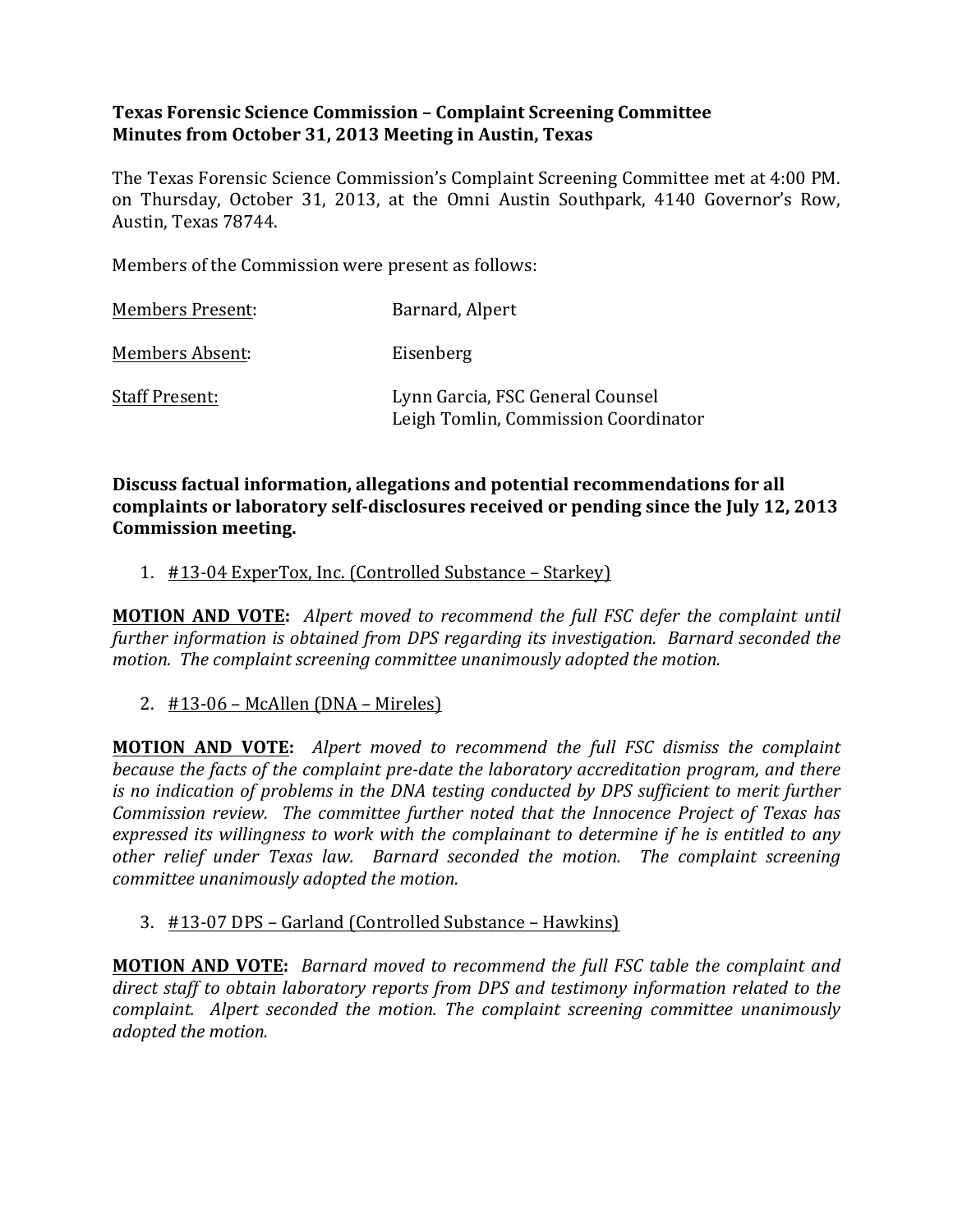## **Texas Forensic Science Commission – Complaint Screening Committee Minutes from October 31, 2013 Meeting in Austin, Texas**

The Texas Forensic Science Commission's Complaint Screening Committee met at 4:00 PM. on Thursday, October 31, 2013, at the Omni Austin Southpark, 4140 Governor's Row, Austin, Texas 78744.

Members of the Commission were present as follows:

| <b>Members Present:</b> | Barnard, Alpert                                                          |
|-------------------------|--------------------------------------------------------------------------|
| <b>Members Absent:</b>  | Eisenberg                                                                |
| <b>Staff Present:</b>   | Lynn Garcia, FSC General Counsel<br>Leigh Tomlin, Commission Coordinator |

**Discuss factual information, allegations and potential recommendations for all** complaints or laboratory self-disclosures received or pending since the July 12, 2013 **Commission meeting.**

#### 1. #13-04 ExperTox, Inc. (Controlled Substance – Starkey)

**MOTION AND VOTE:** Alpert moved to recommend the full FSC defer the complaint until further information is obtained from DPS regarding its investigation. Barnard seconded the *motion.* The complaint screening committee unanimously adopted the motion.

2.  $\#13-06$  – McAllen (DNA – Mireles)

**MOTION AND VOTE:** Alpert moved to recommend the full FSC dismiss the complaint *because the facts of the complaint pre-date the laboratory accreditation program, and there is* no indication of problems in the DNA testing conducted by DPS sufficient to merit further *Commission review.* The committee further noted that the Innocence Project of Texas has *expressed its willingness to work with the complainant to determine if he is entitled to any* other relief under Texas law. Barnard seconded the motion. The complaint screening *committee unanimously adopted the motion.* 

#### 3. #13-07 DPS – Garland (Controlled Substance – Hawkins)

**MOTION AND VOTE:** *Barnard moved to recommend the full FSC table the complaint and direct staff to obtain laboratory reports from DPS and testimony information related to the complaint. Alpert seconded the motion. The complaint screening committee unanimously adopted the motion.*